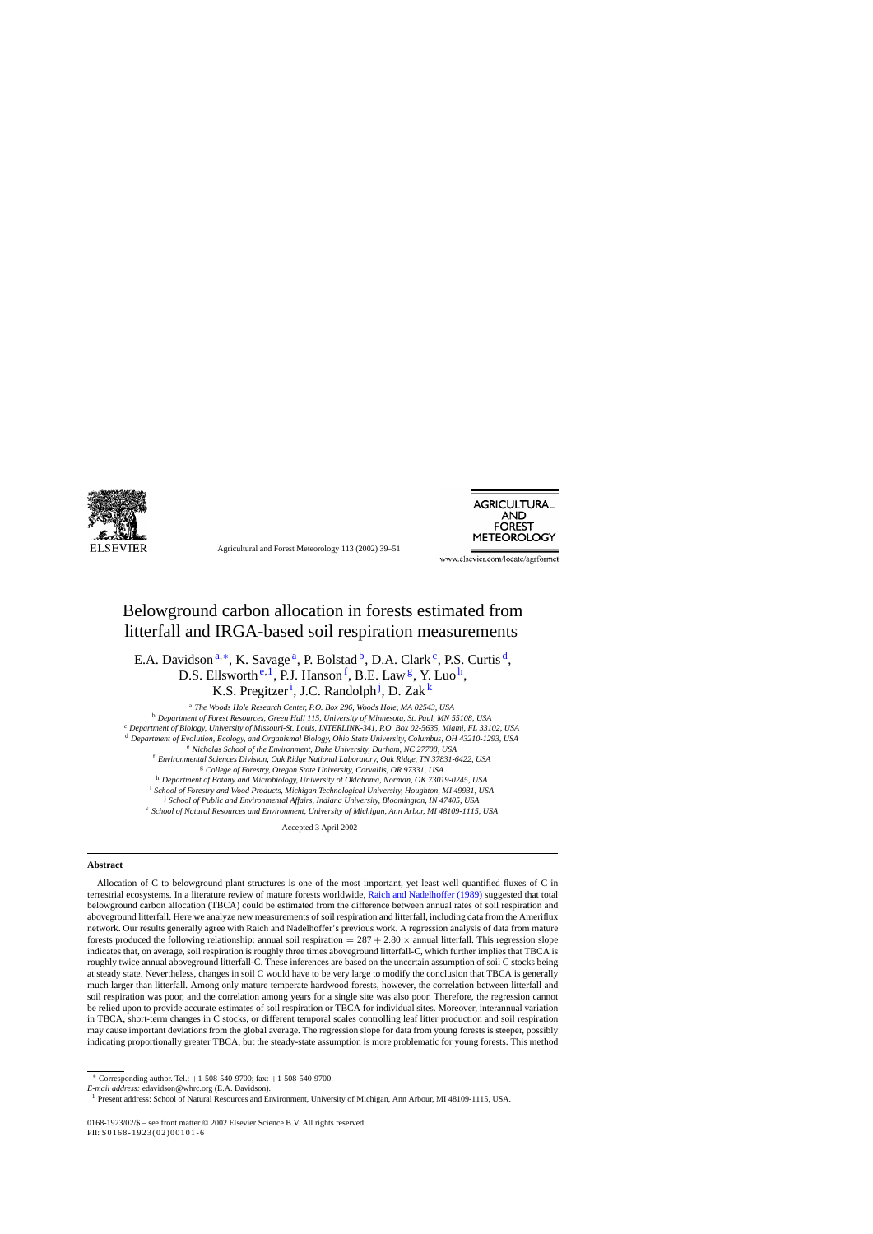

Agricultural and Forest Meteorology 113 (2002) 39–51



www.elsevier.com/locate/agrformet

# Belowground carbon allocation in forests estimated from litterfall and IRGA-based soil respiration measurements

E.A. Davidson<sup>a,\*</sup>, K. Savage<sup>a</sup>, P. Bolstad<sup>b</sup>, D.A. Clark<sup>c</sup>, P.S. Curtis<sup>d</sup>, D.S. Ellsworth <sup>e, 1</sup>, P.J. Hanson <sup>f</sup>, B.E. Law <sup>g</sup>, Y. Luo <sup>h</sup>, K.S. Pregitzer<sup>i</sup>, J.C. Randolph<sup>j</sup>, D. Zak<sup>k</sup>

<sup>a</sup> *The Woods Hole Research Center, P.O. Box 296, Woods Hole, MA 02543, USA*

<sup>b</sup> *Department of Forest Resources, Green Hall 115, University of Minnesota, St. Paul, MN 55108, USA*

<sup>c</sup> *Department of Biology, University of Missouri-St. Louis, INTERLINK-341, P.O. Box 02-5635, Miami, FL 33102, USA*

<sup>d</sup> *Department of Evolution, Ecology, and Organismal Biology, Ohio State University, Columbus, OH 43210-1293, USA*

<sup>e</sup> *Nicholas School of the Environment, Duke University, Durham, NC 27708, USA*

<sup>f</sup> *Environmental Sciences Division, Oak Ridge National Laboratory, Oak Ridge, TN 37831-6422, USA*

<sup>g</sup> *College of Forestry, Oregon State University, Corvallis, OR 97331, USA*

<sup>h</sup> *Department of Botany and Microbiology, University of Oklahoma, Norman, OK 73019-0245, USA*

<sup>i</sup> *School of Forestry and Wood Products, Michigan Technological University, Houghton, MI 49931, USA*

<sup>j</sup> *School of Public and Environmental Affairs, Indiana University, Bloomington, IN 47405, USA*

<sup>k</sup> *School of Natural Resources and Environment, University of Michigan, Ann Arbor, MI 48109-1115, USA*

Accepted 3 April 2002

# **Abstract**

Allocation of C to belowground plant structures is one of the most important, yet least well quantified fluxes of C in terrestrial ecosystems. In a literature review of mature forests worldwide, [Raich and Nadelhoffer \(1989\)](#page-12-0) suggested that total belowground carbon allocation (TBCA) could be estimated from the difference between annual rates of soil respiration and aboveground litterfall. Here we analyze new measurements of soil respiration and litterfall, including data from the Ameriflux network. Our results generally agree with Raich and Nadelhoffer's previous work. A regression analysis of data from mature forests produced the following relationship: annual soil respiration  $= 287 + 2.80 \times$  annual litterfall. This regression slope indicates that, on average, soil respiration is roughly three times aboveground litterfall-C, which further implies that TBCA is roughly twice annual aboveground litterfall-C. These inferences are based on the uncertain assumption of soil C stocks being at steady state. Nevertheless, changes in soil C would have to be very large to modify the conclusion that TBCA is generally much larger than litterfall. Among only mature temperate hardwood forests, however, the correlation between litterfall and soil respiration was poor, and the correlation among years for a single site was also poor. Therefore, the regression cannot be relied upon to provide accurate estimates of soil respiration or TBCA for individual sites. Moreover, interannual variation in TBCA, short-term changes in C stocks, or different temporal scales controlling leaf litter production and soil respiration may cause important deviations from the global average. The regression slope for data from young forests is steeper, possibly indicating proportionally greater TBCA, but the steady-state assumption is more problematic for young forests. This method

<sup>∗</sup> Corresponding author. Tel.: +1-508-540-9700; fax: +1-508-540-9700.

*E-mail address:* edavidson@whrc.org (E.A. Davidson).

<sup>1</sup> Present address: School of Natural Resources and Environment, University of Michigan, Ann Arbour, MI 48109-1115, USA.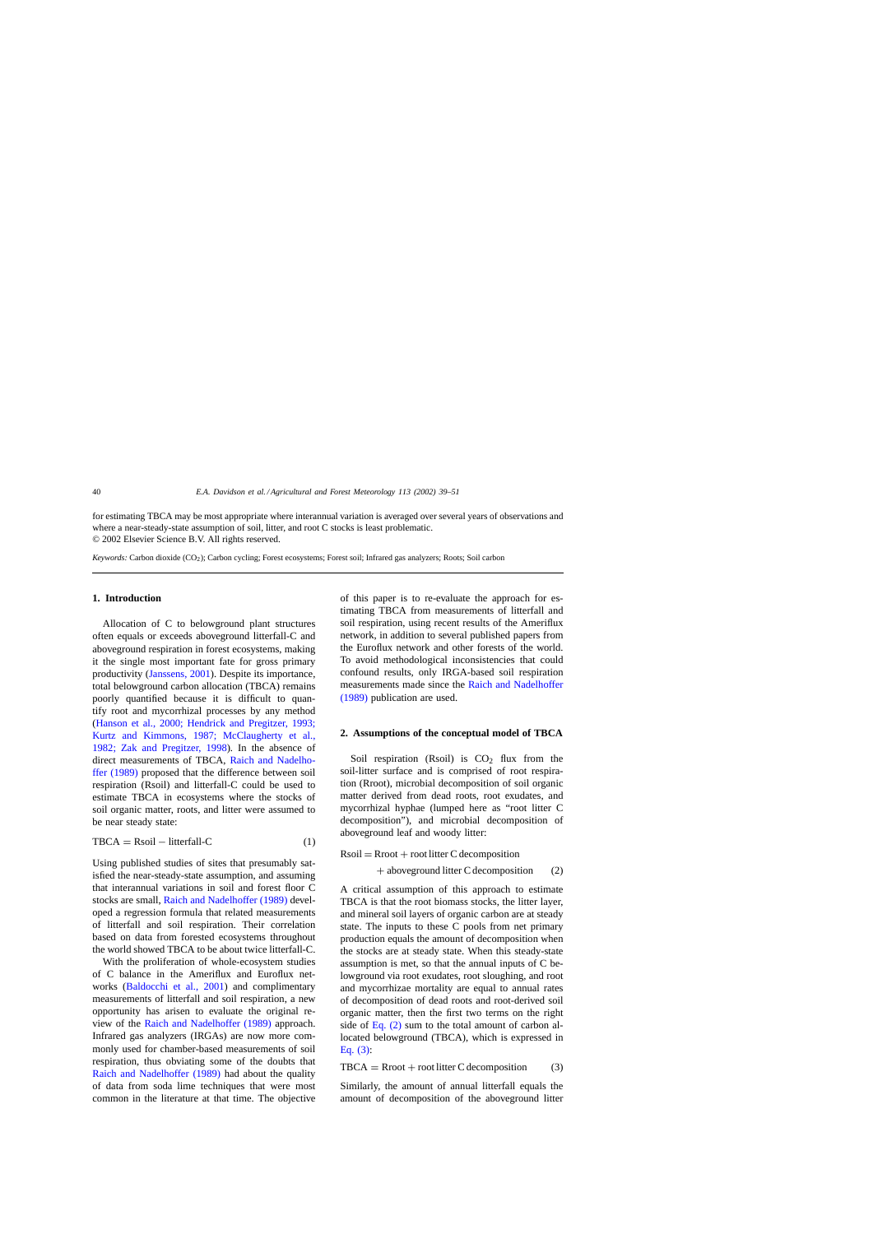<span id="page-1-0"></span>for estimating TBCA may be most appropriate where interannual variation is averaged over several years of observations and where a near-steady-state assumption of soil, litter, and root C stocks is least problematic. © 2002 Elsevier Science B.V. All rights reserved.

*Keywords:* Carbon dioxide (CO2); Carbon cycling; Forest ecosystems; Forest soil; Infrared gas analyzers; Roots; Soil carbon

## **1. Introduction**

Allocation of C to belowground plant structures often equals or exceeds aboveground litterfall-C and aboveground respiration in forest ecosystems, making it the single most important fate for gross primary productivity ([Janssens, 2001\).](#page-12-0) Despite its importance, total belowground carbon allocation (TBCA) remains poorly quantified because it is difficult to quantify root and mycorrhizal processes by any method ([Hanson et al., 2000; Hendrick and Pregitzer, 1993;](#page-12-0) [Kurtz and Kimmons, 1987; McClaugherty et al.,](#page-12-0) [1982; Zak and Pregitzer, 1998](#page-12-0)). In the absence of direct measurements of TBCA, [Raich and Nadelho](#page-12-0)[ffer \(1989\)](#page-12-0) proposed that the difference between soil respiration (Rsoil) and litterfall-C could be used to estimate TBCA in ecosystems where the stocks of soil organic matter, roots, and litter were assumed to be near steady state:

$$
TBCA = Rosol - litterfall-C
$$
 (1)

Using published studies of sites that presumably satisfied the near-steady-state assumption, and assuming that interannual variations in soil and forest floor C stocks are small, [Raich and Nadelhoffer \(1989\)](#page-12-0) developed a regression formula that related measurements of litterfall and soil respiration. Their correlation based on data from forested ecosystems throughout the world showed TBCA to be about twice litterfall-C.

With the proliferation of whole-ecosystem studies of C balance in the Ameriflux and Euroflux networks ([Baldocchi et al., 2001](#page-11-0)) and complimentary measurements of litterfall and soil respiration, a new opportunity has arisen to evaluate the original review of the [Raich and Nadelhoffer \(1989\)](#page-12-0) approach. Infrared gas analyzers (IRGAs) are now more commonly used for chamber-based measurements of soil respiration, thus obviating some of the doubts that [Raich and Nadelhoffer \(1989\)](#page-12-0) had about the quality of data from soda lime techniques that were most common in the literature at that time. The objective of this paper is to re-evaluate the approach for estimating TBCA from measurements of litterfall and soil respiration, using recent results of the Ameriflux network, in addition to several published papers from the Euroflux network and other forests of the world. To avoid methodological inconsistencies that could confound results, only IRGA-based soil respiration measurements made since the [Raich and Nadelhoffer](#page-12-0) [\(1989\)](#page-12-0) publication are used.

# **2. Assumptions of the conceptual model of TBCA**

Soil respiration (Rsoil) is  $CO<sub>2</sub>$  flux from the soil-litter surface and is comprised of root respiration (Rroot), microbial decomposition of soil organic matter derived from dead roots, root exudates, and mycorrhizal hyphae (lumped here as "root litter C decomposition"), and microbial decomposition of aboveground leaf and woody litter:

 $Rsoil = Rroot + root$  litter C decomposition

+ aboveground litter C decomposition (2)

A critical assumption of this approach to estimate TBCA is that the root biomass stocks, the litter layer, and mineral soil layers of organic carbon are at steady state. The inputs to these C pools from net primary production equals the amount of decomposition when the stocks are at steady state. When this steady-state assumption is met, so that the annual inputs of C belowground via root exudates, root sloughing, and root and mycorrhizae mortality are equal to annual rates of decomposition of dead roots and root-derived soil organic matter, then the first two terms on the right side of Eq. (2) sum to the total amount of carbon allocated belowground (TBCA), which is expressed in Eq. (3):

 $TBCA = Rroot + root$  litter C decomposition (3)

Similarly, the amount of annual litterfall equals the amount of decomposition of the aboveground litter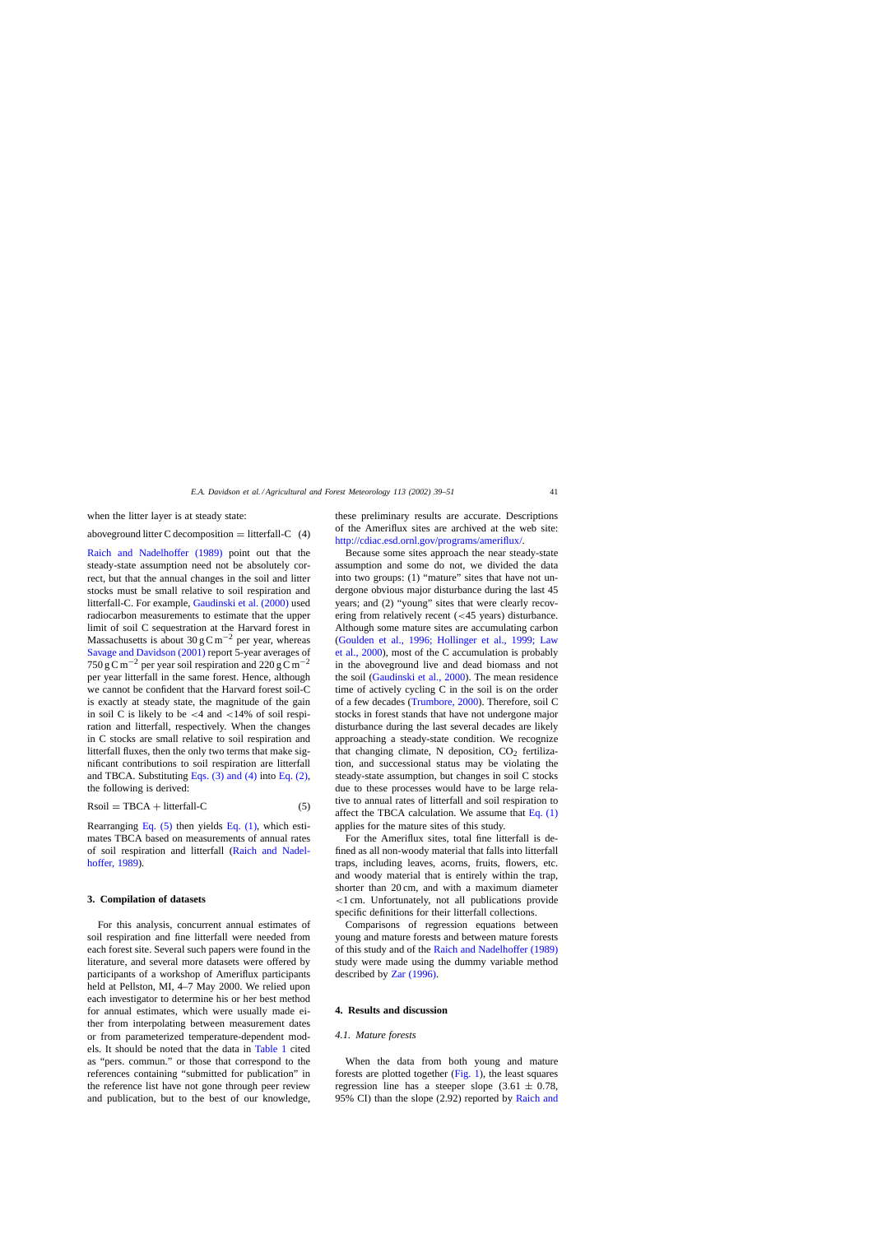<span id="page-2-0"></span>when the litter layer is at steady state:

#### aboveground litter C decomposition  $=$  litterfall-C (4)

[Raich and Nadelhoffer \(1989](#page-12-0)) point out that the steady-state assumption need not be absolutely correct, but that the annual changes in the soil and litter stocks must be small relative to soil respiration and litterfall-C. For example, [Gaudinski et al. \(2000\)](#page-11-0) used radiocarbon measurements to estimate that the upper limit of soil C sequestration at the Harvard forest in Massachusetts is about 30 g C m<sup>-2</sup> per year, whereas [Savage and Davidson \(2001\)](#page-12-0) report 5-year averages of  $750 \text{ g}$  C m<sup>-2</sup> per year soil respiration and 220 g C m<sup>-2</sup> per year litterfall in the same forest. Hence, although we cannot be confident that the Harvard forest soil-C is exactly at steady state, the magnitude of the gain in soil C is likely to be  $\lt$  4 and  $\lt$  14% of soil respiration and litterfall, respectively. When the changes in C stocks are small relative to soil respiration and litterfall fluxes, then the only two terms that make significant contributions to soil respiration are litterfall and TBCA. Substituting [Eqs. \(3\) and \(4\)](#page-1-0) into [Eq. \(2\),](#page-1-0) the following is derived:

$$
Rsoil = TBCA + litterfall-C
$$
 (5)

Rearranging Eq.  $(5)$  then yields Eq.  $(1)$ , which estimates TBCA based on measurements of annual rates of soil respiration and litterfall ([Raich and Nadel](#page-12-0)[hoffer, 1989\).](#page-12-0)

## **3. Compilation of datasets**

For this analysis, concurrent annual estimates of soil respiration and fine litterfall were needed from each forest site. Several such papers were found in the literature, and several more datasets were offered by participants of a workshop of Ameriflux participants held at Pellston, MI, 4–7 May 2000. We relied upon each investigator to determine his or her best method for annual estimates, which were usually made either from interpolating between measurement dates or from parameterized temperature-dependent models. It should be noted that the data in [Table 1](#page-3-0) cited as "pers. commun." or those that correspond to the references containing "submitted for publication" in the reference list have not gone through peer review and publication, but to the best of our knowledge,

these preliminary results are accurate. Descriptions of the Ameriflux sites are archived at the web site: [http://cdiac.esd.ornl.gov/programs/ameriflux/.](http://cdiac.esd.ornl.gov/programs/ameriflux/)

Because some sites approach the near steady-state assumption and some do not, we divided the data into two groups: (1) "mature" sites that have not undergone obvious major disturbance during the last 45 years; and (2) "young" sites that were clearly recovering from relatively recent (<45 years) disturbance. Although some mature sites are accumulating carbon ([Goulden et al., 1996; Hollinger et al., 1999; La](#page-11-0)w [et al., 2000\),](#page-11-0) most of the C accumulation is probably in the aboveground live and dead biomass and not the soil [\(Gaudinski et al., 2000\).](#page-11-0) The mean residence time of actively cycling C in the soil is on the order of a few decades ([Trumbore, 2000\).](#page-12-0) Therefore, soil C stocks in forest stands that have not undergone major disturbance during the last several decades are likely approaching a steady-state condition. We recognize that changing climate, N deposition,  $CO<sub>2</sub>$  fertilization, and successional status may be violating the steady-state assumption, but changes in soil C stocks due to these processes would have to be large relative to annual rates of litterfall and soil respiration to affect the TBCA calculation. We assume that  $Eq. (1)$ applies for the mature sites of this study.

For the Ameriflux sites, total fine litterfall is defined as all non-woody material that falls into litterfall traps, including leaves, acorns, fruits, flowers, etc. and woody material that is entirely within the trap, shorter than 20 cm, and with a maximum diameter <1 cm. Unfortunately, not all publications provide specific definitions for their litterfall collections.

Comparisons of regression equations between young and mature forests and between mature forests of this study and of the [Raich and Nadelhoffer \(1989\)](#page-12-0) study were made using the dummy variable method described by [Zar \(1996\).](#page-12-0)

## **4. Results and discussion**

#### *4.1. Mature forests*

When the data from both young and mature forests are plotted together  $(Fig. 1)$ , the least squares regression line has a steeper slope  $(3.61 \pm 0.78,$ 95% CI) than the slope (2.92) reported by [Raich and](#page-12-0)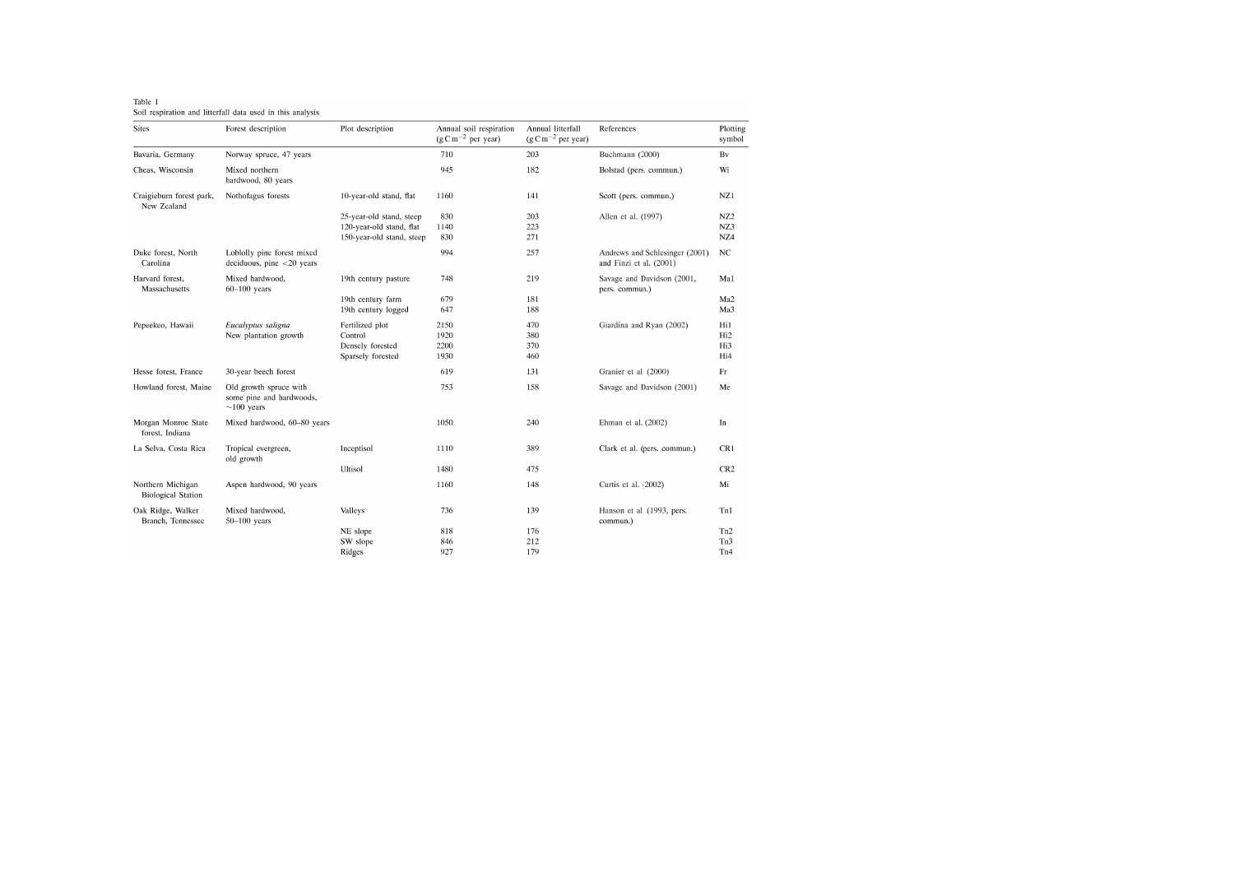Table 1 Soil respiration and litterfall data used in this analysis

| <b>Sites</b>                                   | Forest description                                                          | Plot description          | Annual soil respiration<br>$(g \text{ C m}^{-2} \text{ per year})$ | Annual litterfall<br>$(g \text{ C m}^{-2} \text{ per year})$ | References                                                | Plotting<br>symbol     |
|------------------------------------------------|-----------------------------------------------------------------------------|---------------------------|--------------------------------------------------------------------|--------------------------------------------------------------|-----------------------------------------------------------|------------------------|
| Bavaria, Germany                               | Norway spruce, 47 years                                                     |                           | 710                                                                | 203                                                          | Buchmann (2000)                                           | $\mathbf{B}\mathbf{v}$ |
| Cheas, Wisconsin                               | Mixed northern<br>hardwood, 80 years                                        |                           | 945                                                                | 182                                                          | Bolstad (pers. commun.)                                   | Wi                     |
| Craigieburn forest park,<br>New Zealand        | Nothofagus forests                                                          | 10-year-old stand, flat   | 1160                                                               | 141                                                          | Scott (pers. commun.)                                     | NZ1                    |
|                                                |                                                                             | 25-year-old stand, steep  | 830                                                                | 203                                                          | Allen et al. (1997)                                       | NZ <sub>2</sub>        |
|                                                |                                                                             | 120-year-old stand, flat  | 1140                                                               | 223                                                          |                                                           | NZ3                    |
|                                                |                                                                             | 150-year-old stand, steep | 830                                                                | 271                                                          |                                                           | NZ4                    |
| Duke forest, North<br>Carolina                 | Loblolly pine forest mixed<br>$deciduous$ , pine $\langle 20 \rangle$ years |                           | 994                                                                | 257                                                          | Andrews and Schlesinger (2001)<br>and Finzi et al. (2001) | <b>NC</b>              |
| Harvard forest,<br>Massachusetts               | Mixed hardwood,<br>$60-100$ years                                           | 19th century pasture      | 748                                                                | 219                                                          | Savage and Davidson (2001,<br>pers. commun.)              | Ma1                    |
|                                                |                                                                             | 19th century farm         | 679                                                                | 181                                                          |                                                           | Ma2                    |
|                                                |                                                                             | 19th century logged       | 647                                                                | 188                                                          |                                                           | Ma3                    |
| Pepeekeo, Hawaii                               | Eucalyptus saligna<br>New plantation growth                                 | Fertilized plot           | 2150                                                               | 470                                                          | Giardina and Ryan (2002)                                  | Hi1                    |
|                                                |                                                                             | Control                   | 1920                                                               | 380                                                          |                                                           | Hi2                    |
|                                                |                                                                             | Densely forested          | 2200                                                               | 370                                                          |                                                           | Hi3                    |
|                                                |                                                                             | Sparsely forested         | 1930                                                               | 460                                                          |                                                           | Hi4                    |
| Hesse forest, France                           | 30-year beech forest                                                        |                           | 619                                                                | 131                                                          | Granier et al. (2000)                                     | Fr                     |
| Howland forest, Maine                          | Old growth spruce with<br>some pine and hardwoods,<br>$\sim$ 100 years      |                           | 753                                                                | 158                                                          | Savage and Davidson (2001)                                | Me                     |
| Morgan Monroe State<br>forest, Indiana         | Mixed hardwood, 60-80 years                                                 |                           | 1050                                                               | 240                                                          | Ehman et al. (2002)                                       | In                     |
| La Selva, Costa Rica                           | Tropical evergreen,<br>old growth                                           | Inceptisol                | 1110                                                               | 389                                                          | Clark et al. (pers. commun.)                              | CR1                    |
|                                                |                                                                             | Ultisol                   | 1480                                                               | 475                                                          |                                                           | CR <sub>2</sub>        |
| Northern Michigan<br><b>Biological Station</b> | Aspen hardwood, 90 years                                                    |                           | 1160                                                               | 148                                                          | Curtis et al. (2002)                                      | Mi                     |
| Oak Ridge, Walker<br>Branch, Tennessee         | Mixed hardwood,<br>$50-100$ years                                           | Valleys                   | 736                                                                | 139                                                          | Hanson et al. (1993, pers.<br>commun.)                    | Tn1                    |
|                                                |                                                                             | NE slope                  | 818                                                                | 176                                                          |                                                           | Tn2                    |
|                                                |                                                                             | SW slope                  | 846                                                                | 212                                                          |                                                           | Tn <sub>3</sub>        |
|                                                |                                                                             | Ridges                    | 927                                                                | 179                                                          |                                                           | Tn4                    |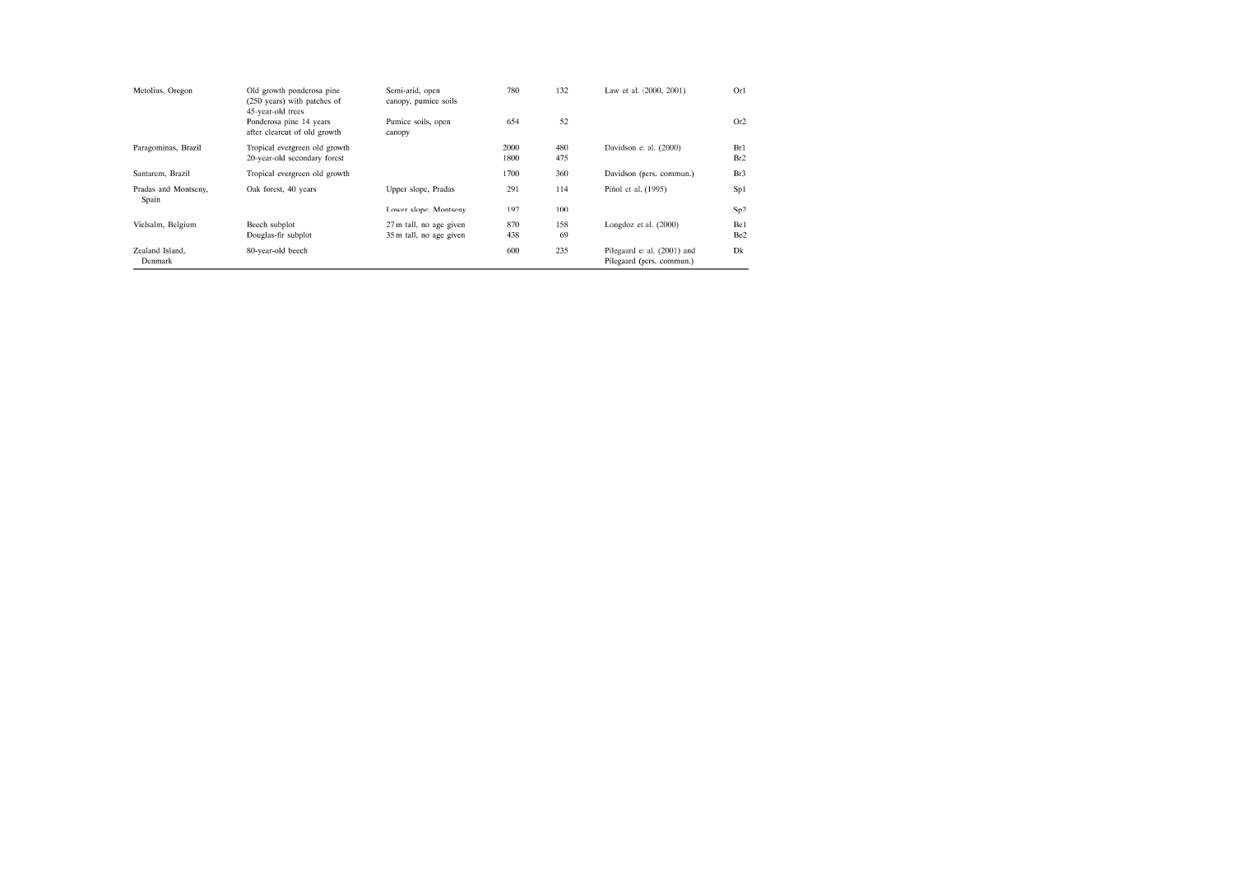| Metolius, Oregon              | Old growth ponderosa pine<br>(250 years) with patches of<br>45-year-old trees | Semi-arid, open<br>canopy, pumice soils            | 780          | 132        | Law et al. (2000, 2001)                                  | Or1             |
|-------------------------------|-------------------------------------------------------------------------------|----------------------------------------------------|--------------|------------|----------------------------------------------------------|-----------------|
|                               | Ponderosa pine 14 years<br>after clearcut of old growth                       | Pumice soils, open<br>canopy                       | 654          | 52         |                                                          | Or2             |
| Paragominas, Brazil           | Tropical evergreen old growth<br>20-year-old secondary forest                 |                                                    | 2000<br>1800 | 480<br>475 | Davidson et al. (2000)                                   | Br1<br>Br2      |
| Santarem, Brazil              | Tropical evergreen old growth                                                 |                                                    | 1700         | 360        | Davidson (pers. commun.)                                 | Br <sub>3</sub> |
| Pradas and Montseny,<br>Spain | Oak forest, 40 years                                                          | Upper slope, Pradas                                | 291          | 114        | Piñol et al. (1995)                                      | Sp1             |
|                               |                                                                               | Lower slope, Montseny                              | 197          | 100        |                                                          | Sp2             |
| Vielsalm, Belgium             | Beech subplot<br>Douglas-fir subplot                                          | 27 m tall, no age given<br>35 m tall, no age given | 870<br>438   | 158<br>69  | Longdoz et al. $(2000)$                                  | Be1<br>Be2      |
| Zealand Island,<br>Denmark    | 80-year-old beech                                                             |                                                    | 600          | 235        | Pilegaard et al. (2001) and<br>Pilegaard (pers. commun.) | Dk              |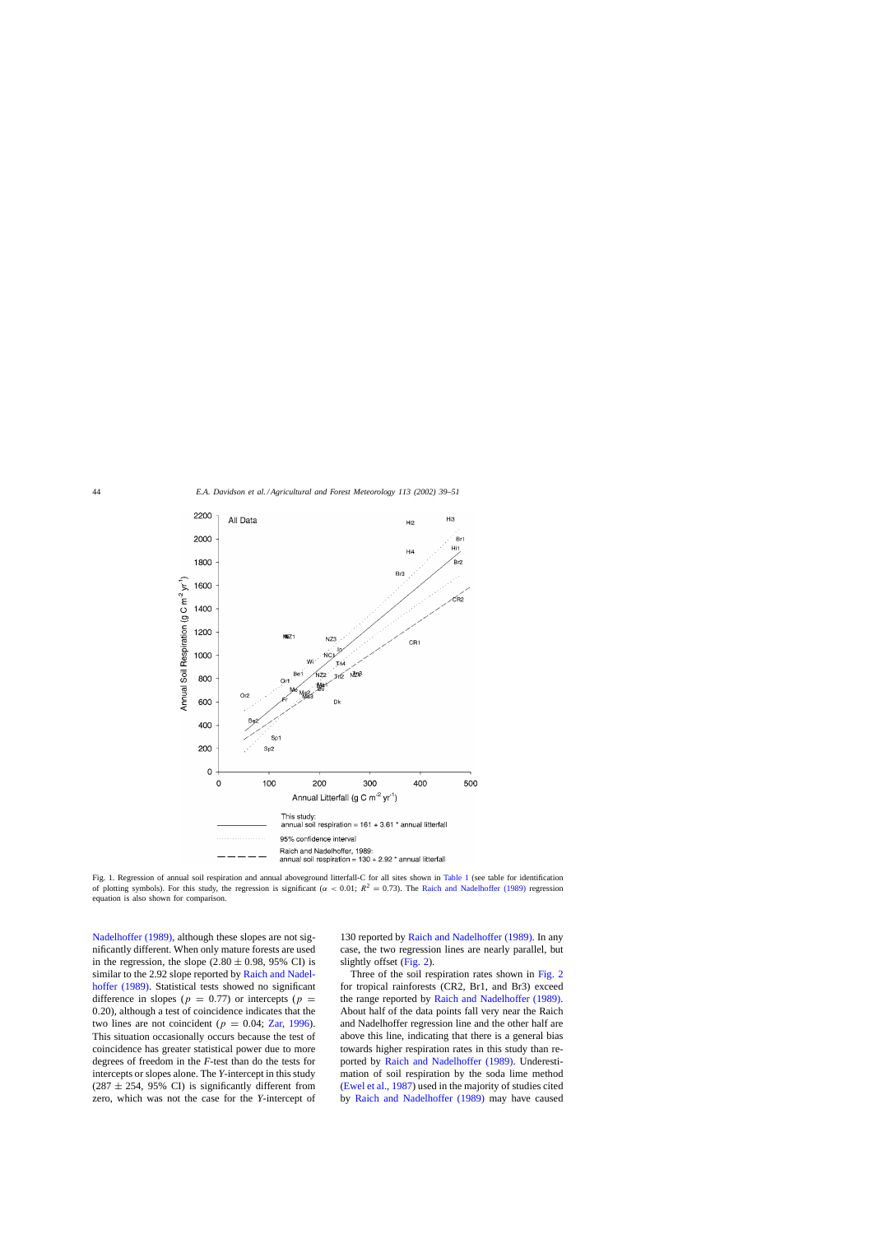<span id="page-5-0"></span>

Fig. 1. Regression of annual soil respiration and annual aboveground litterfall-C for all sites shown in [Table 1](#page-3-0) (see table for identification of plotting symbols). For this study, the regression is significant ( $\alpha < 0.01$ ;  $R^2 = 0.73$ ). The [Raich and Nadelhoffer \(1989\)](#page-12-0) regression equation is also shown for comparison.

[Nadelhoffer \(1989\), a](#page-12-0)lthough these slopes are not significantly different. When only mature forests are used in the regression, the slope  $(2.80 \pm 0.98, 95\% \text{ CI})$  is similar to the 2.92 slope reported by [Raich and Nadel](#page-12-0)[hoffer \(1989\).](#page-12-0) Statistical tests showed no significant difference in slopes ( $p = 0.77$ ) or intercepts ( $p =$ 0.20), although a test of coincidence indicates that the two lines are not coincident ( $p = 0.04$ ; [Zar, 1996\).](#page-12-0) This situation occasionally occurs because the test of coincidence has greater statistical power due to more degrees of freedom in the *F*-test than do the tests for intercepts or slopes alone. The *Y*-intercept in this study  $(287 \pm 254, 95\% \text{ CI})$  is significantly different from zero, which was not the case for the *Y*-intercept of 130 reported by [Raich and Nadelhoffer \(1989\). I](#page-12-0)n any case, the two regression lines are nearly parallel, but slightly offset ([Fig. 2\).](#page-6-0)

Three of the soil respiration rates shown in [Fig. 2](#page-6-0) for tropical rainforests (CR2, Br1, and Br3) exceed the range reported by [Raich and Nadelhoffer \(1989\).](#page-12-0) About half of the data points fall very near the Raich and Nadelhoffer regression line and the other half are above this line, indicating that there is a general bias towards higher respiration rates in this study than reported by [Raich and Nadelhoffer \(1989\).](#page-12-0) Underestimation of soil respiration by the soda lime method ([Ewel et al., 1987\) u](#page-11-0)sed in the majority of studies cited by [Raich and Nadelhoffer \(1989\)](#page-12-0) may have caused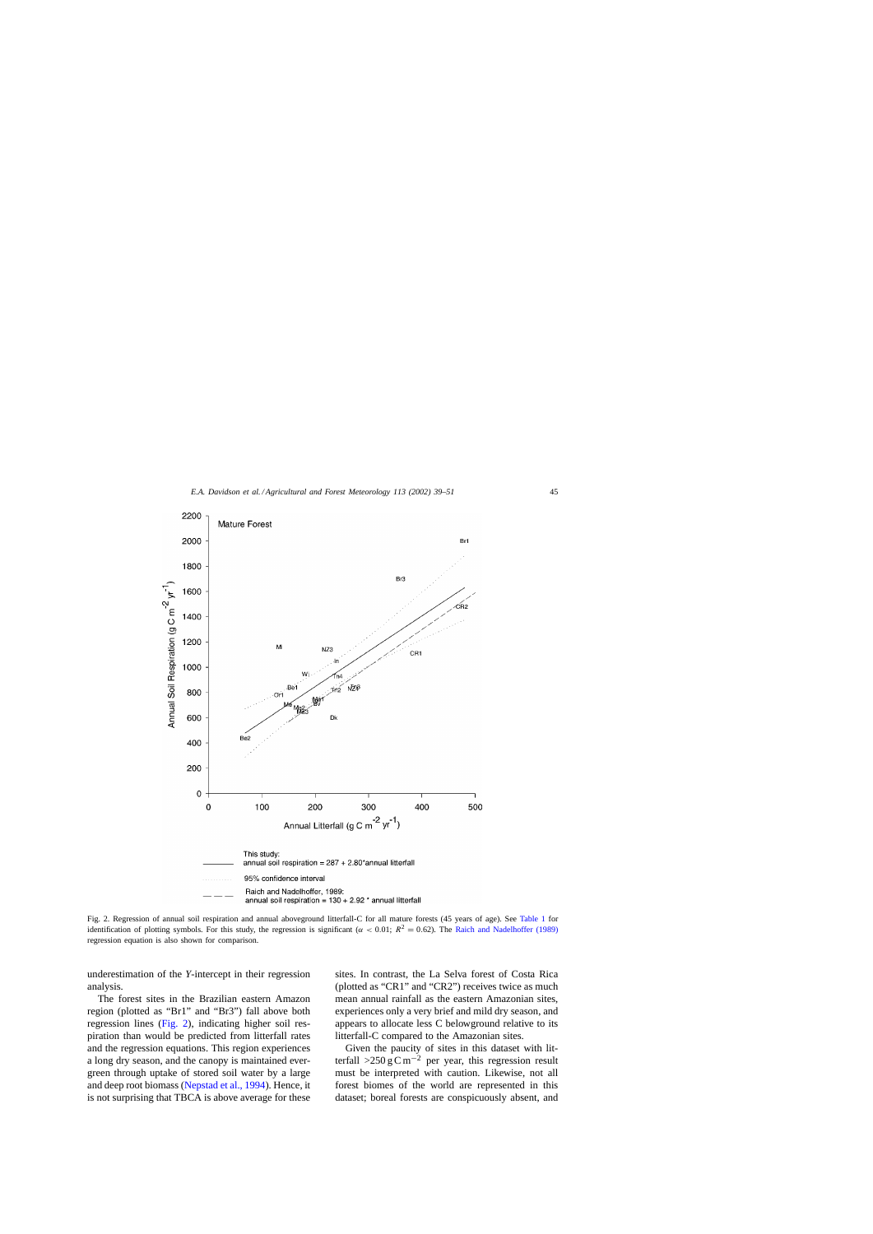<span id="page-6-0"></span>

Fig. 2. Regression of annual soil respiration and annual aboveground litterfall-C for all mature forests (45 years of age). See [Table 1](#page-3-0) for identification of plotting symbols. For this study, the regression is significant ( $\alpha < 0.01$ ;  $R^2 = 0.62$ ). The [Raich and Nadelhoffer \(1989\)](#page-12-0) regression equation is also shown for comparison.

underestimation of the *Y*-intercept in their regression analysis.

The forest sites in the Brazilian eastern Amazon region (plotted as "Br1" and "Br3") fall above both regression lines (Fig. 2), indicating higher soil respiration than would be predicted from litterfall rates and the regression equations. This region experiences a long dry season, and the canopy is maintained evergreen through uptake of stored soil water by a large and deep root biomass ([Nepstad et al., 1994\). H](#page-12-0)ence, it is not surprising that TBCA is above average for these

sites. In contrast, the La Selva forest of Costa Rica (plotted as "CR1" and "CR2") receives twice as much mean annual rainfall as the eastern Amazonian sites, experiences only a very brief and mild dry season, and appears to allocate less C belowground relative to its litterfall-C compared to the Amazonian sites.

Given the paucity of sites in this dataset with litterfall >250 g C m<sup>-2</sup> per year, this regression result must be interpreted with caution. Likewise, not all forest biomes of the world are represented in this dataset; boreal forests are conspicuously absent, and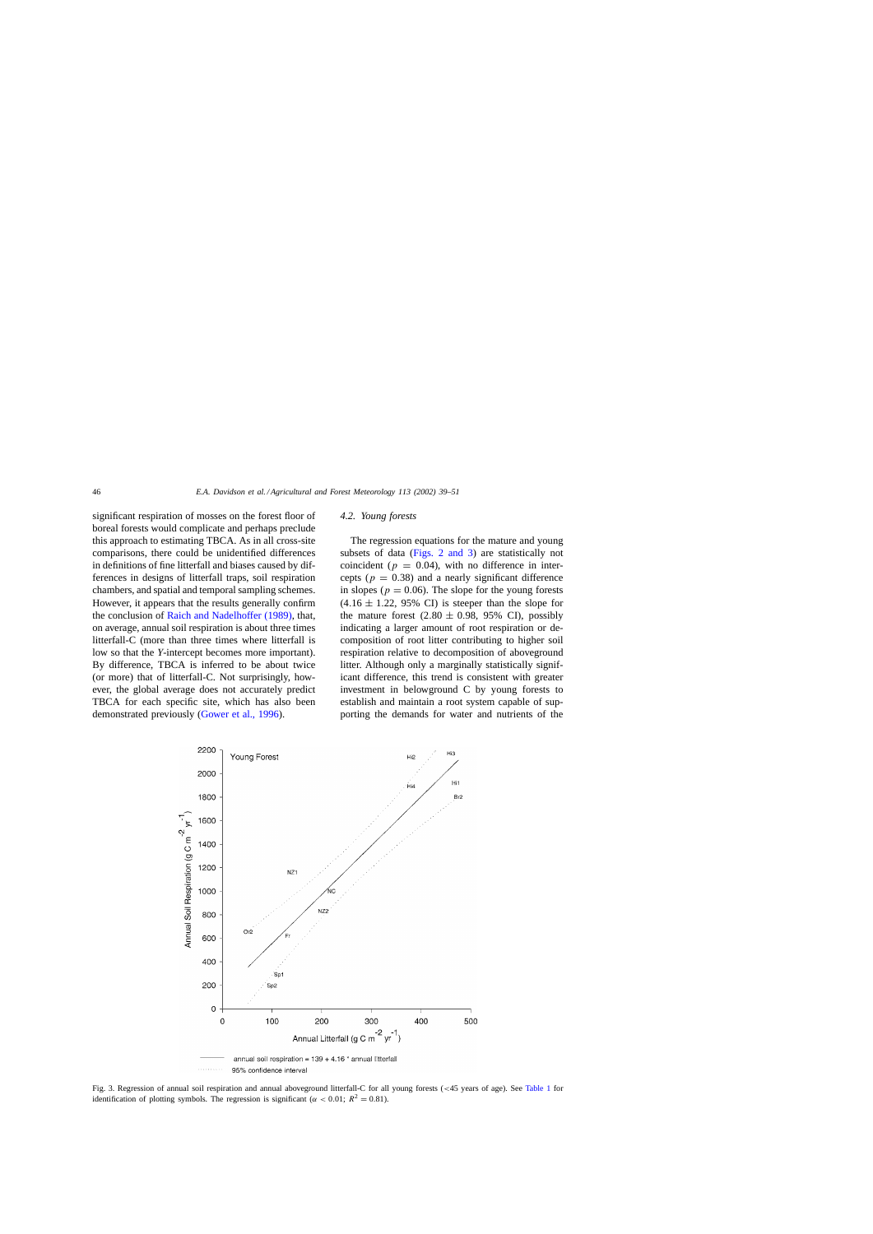<span id="page-7-0"></span>significant respiration of mosses on the forest floor of boreal forests would complicate and perhaps preclude this approach to estimating TBCA. As in all cross-site comparisons, there could be unidentified differences in definitions of fine litterfall and biases caused by differences in designs of litterfall traps, soil respiration chambers, and spatial and temporal sampling schemes. However, it appears that the results generally confirm the conclusion of [Raich and Nadelhoffer \(1989\),](#page-12-0) that, on average, annual soil respiration is about three times litterfall-C (more than three times where litterfall is low so that the *Y*-intercept becomes more important). By difference, TBCA is inferred to be about twice (or more) that of litterfall-C. Not surprisingly, however, the global average does not accurately predict TBCA for each specific site, which has also been demonstrated previously [\(Gower et al., 1996\).](#page-11-0)

## *4.2. Young forests*

The regression equations for the mature and young subsets of data ([Figs. 2 and 3\)](#page-6-0) are statistically not coincident ( $p = 0.04$ ), with no difference in intercepts ( $p = 0.38$ ) and a nearly significant difference in slopes ( $p = 0.06$ ). The slope for the young forests  $(4.16 \pm 1.22, 95\% \text{ CI})$  is steeper than the slope for the mature forest  $(2.80 \pm 0.98, 95\% \text{ CI})$ , possibly indicating a larger amount of root respiration or decomposition of root litter contributing to higher soil respiration relative to decomposition of aboveground litter. Although only a marginally statistically significant difference, this trend is consistent with greater investment in belowground C by young forests to establish and maintain a root system capable of supporting the demands for water and nutrients of the



Fig. 3. Regression of annual soil respiration and annual aboveground litterfall-C for all young forests (<45 years of age). See [Table 1](#page-3-0) for identification of plotting symbols. The regression is significant ( $\alpha < 0.01$ ;  $R^2 = 0.81$ ).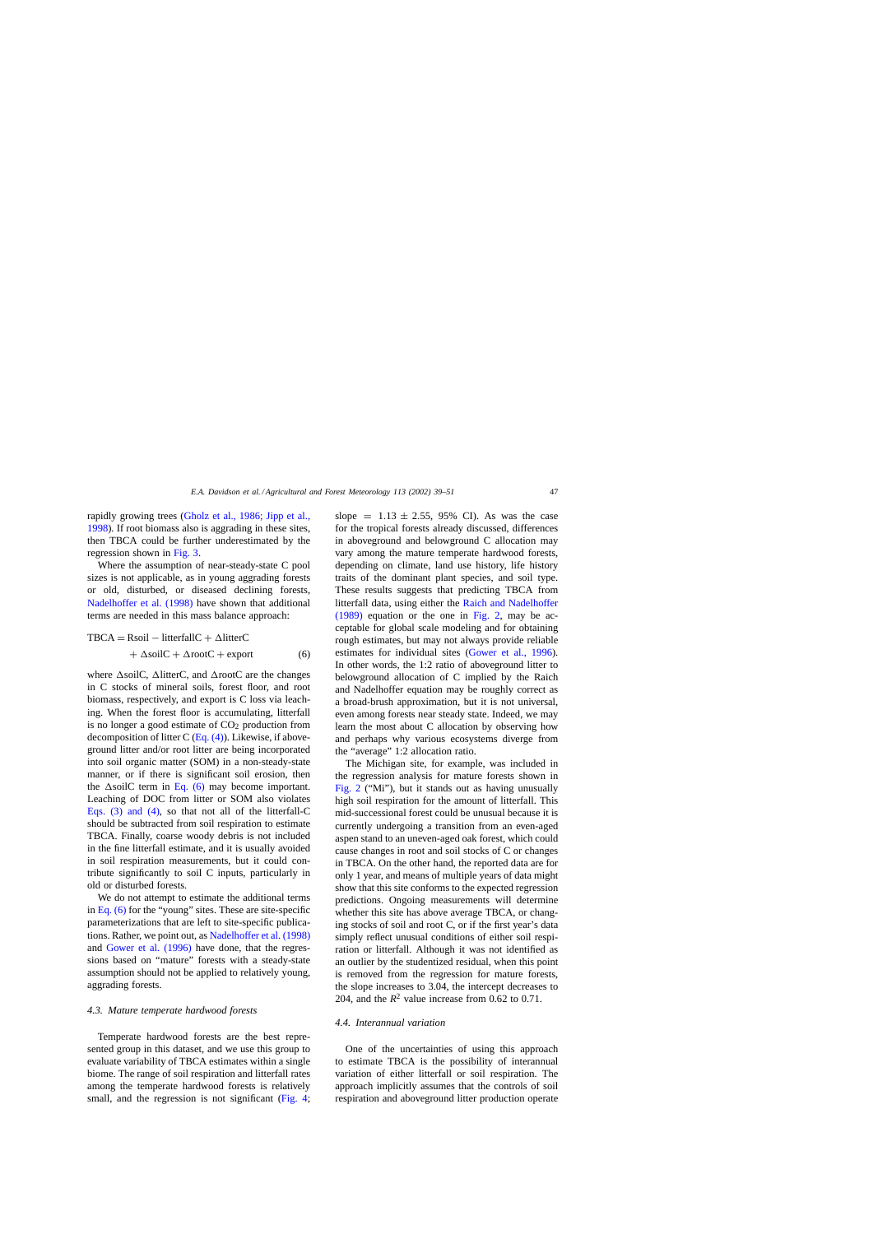rapidly growing trees [\(Gholz et al., 1986; Jipp et al.,](#page-11-0) [1998\).](#page-11-0) If root biomass also is aggrading in these sites, then TBCA could be further underestimated by the regression shown in [Fig. 3.](#page-7-0)

Where the assumption of near-steady-state C pool sizes is not applicable, as in young aggrading forests or old, disturbed, or diseased declining forests, [Nadelhoffer et al. \(1998\)](#page-12-0) have shown that additional terms are needed in this mass balance approach:

$$
TBCA = Rosol - litterfallC + \Delta litterC + \Delta soilC + \Delta rootC + export
$$
 (6)

where  $\Delta$ soilC,  $\Delta$ litterC, and  $\Delta$ rootC are the changes in C stocks of mineral soils, forest floor, and root biomass, respectively, and export is C loss via leaching. When the forest floor is accumulating, litterfall is no longer a good estimate of  $CO<sub>2</sub>$  production from decomposition of litter  $C$  ([Eq. \(4\)\).](#page-2-0) Likewise, if aboveground litter and/or root litter are being incorporated into soil organic matter (SOM) in a non-steady-state manner, or if there is significant soil erosion, then the  $\Delta$ soilC term in Eq. (6) may become important. Leaching of DOC from litter or SOM also violates [Eqs. \(3\) and \(4\)](#page-1-0), so that not all of the litterfall-C should be subtracted from soil respiration to estimate TBCA. Finally, coarse woody debris is not included in the fine litterfall estimate, and it is usually avoided in soil respiration measurements, but it could contribute significantly to soil C inputs, particularly in old or disturbed forests.

We do not attempt to estimate the additional terms in Eq.  $(6)$  for the "young" sites. These are site-specific parameterizations that are left to site-specific publications. Rather, we point out, as [Nadelhoffer et al. \(1998\)](#page-12-0) and [Gower et al. \(1996\)](#page-11-0) have done, that the regressions based on "mature" forests with a steady-state assumption should not be applied to relatively young, aggrading forests.

## *4.3. Mature temperate hardwood forests*

Temperate hardwood forests are the best represented group in this dataset, and we use this group to evaluate variability of TBCA estimates within a single biome. The range of soil respiration and litterfall rates among the temperate hardwood forests is relatively small, and the regression is not significant [\(Fig. 4;](#page-9-0)

slope =  $1.13 \pm 2.55$ , 95% CI). As was the case for the tropical forests already discussed, differences in aboveground and belowground C allocation may vary among the mature temperate hardwood forests, depending on climate, land use history, life history traits of the dominant plant species, and soil type. These results suggests that predicting TBCA from litterfall data, using either the [Raich and Nadelhoffer](#page-12-0) [\(1989\)](#page-12-0) equation or the one in [Fig. 2,](#page-6-0) may be acceptable for global scale modeling and for obtaining rough estimates, but may not always provide reliable estimates for individual sites [\(Gower et al., 1996](#page-11-0)). In other words, the 1:2 ratio of aboveground litter to belowground allocation of C implied by the Raich and Nadelhoffer equation may be roughly correct as a broad-brush approximation, but it is not universal, even among forests near steady state. Indeed, we may learn the most about C allocation by observing how and perhaps why various ecosystems diverge from the "average" 1:2 allocation ratio.

The Michigan site, for example, was included in the regression analysis for mature forests shown in [Fig. 2](#page-6-0) ("Mi"), but it stands out as having unusually high soil respiration for the amount of litterfall. This mid-successional forest could be unusual because it is currently undergoing a transition from an even-aged aspen stand to an uneven-aged oak forest, which could cause changes in root and soil stocks of C or changes in TBCA. On the other hand, the reported data are for only 1 year, and means of multiple years of data might show that this site conforms to the expected regression predictions. Ongoing measurements will determine whether this site has above average TBCA, or changing stocks of soil and root C, or if the first year's data simply reflect unusual conditions of either soil respiration or litterfall. Although it was not identified as an outlier by the studentized residual, when this point is removed from the regression for mature forests, the slope increases to 3.04, the intercept decreases to 204, and the  $R^2$  value increase from 0.62 to 0.71.

# *4.4. Interannual variation*

One of the uncertainties of using this approach to estimate TBCA is the possibility of interannual variation of either litterfall or soil respiration. The approach implicitly assumes that the controls of soil respiration and aboveground litter production operate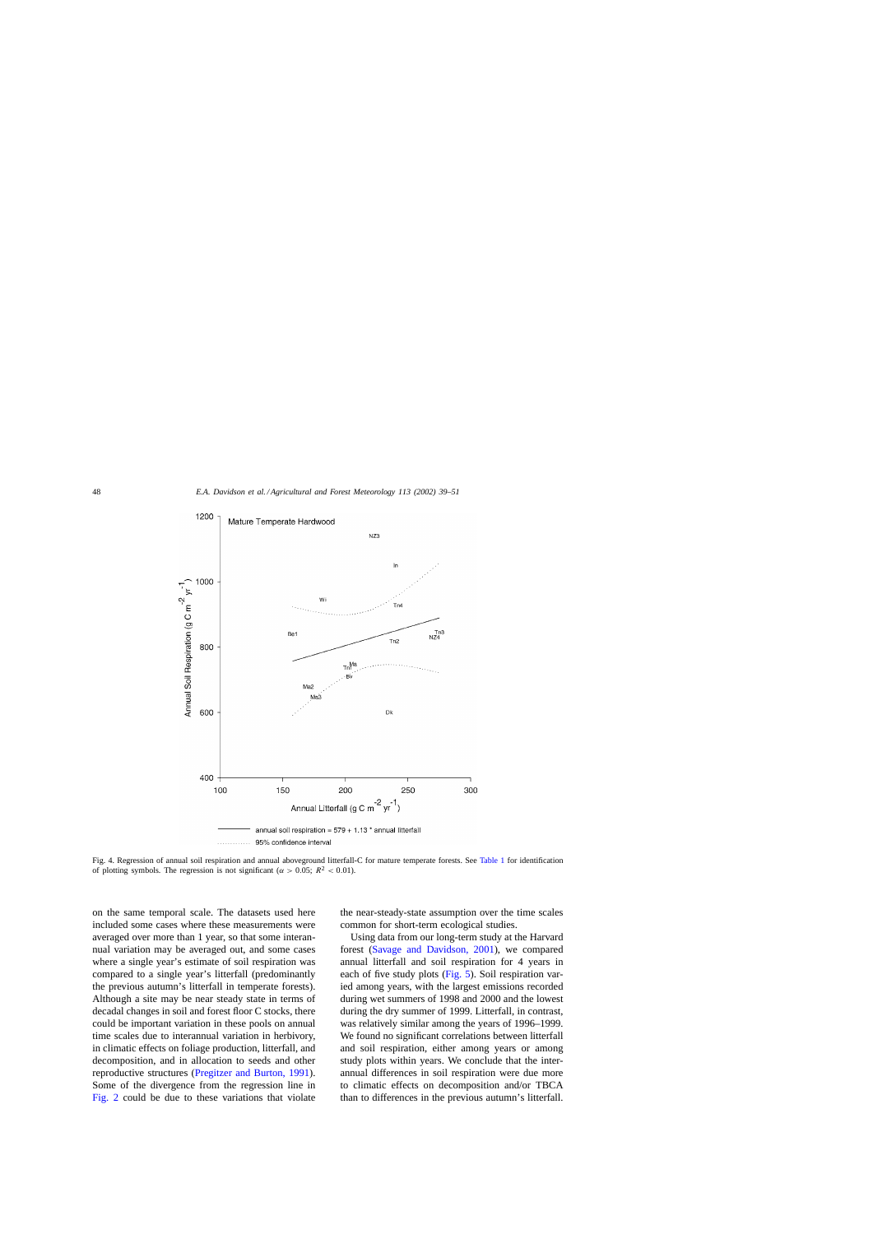<span id="page-9-0"></span>

Fig. 4. Regression of annual soil respiration and annual aboveground litterfall-C for mature temperate forests. See [Table 1](#page-3-0) for identification of plotting symbols. The regression is not significant ( $\alpha > 0.05$ ;  $R^2 < 0.01$ ).

on the same temporal scale. The datasets used here included some cases where these measurements were averaged over more than 1 year, so that some interannual variation may be averaged out, and some cases where a single year's estimate of soil respiration was compared to a single year's litterfall (predominantly the previous autumn's litterfall in temperate forests). Although a site may be near steady state in terms of decadal changes in soil and forest floor C stocks, there could be important variation in these pools on annual time scales due to interannual variation in herbivory, in climatic effects on foliage production, litterfall, and decomposition, and in allocation to seeds and other reproductive structures [\(Pregitzer and Burton, 1991\).](#page-12-0) Some of the divergence from the regression line in [Fig. 2](#page-6-0) could be due to these variations that violate the near-steady-state assumption over the time scales common for short-term ecological studies.

Using data from our long-term study at the Harvard forest [\(Savage and Davidson, 2001](#page-12-0)), we compared annual litterfall and soil respiration for 4 years in each of five study plots ([Fig. 5\).](#page-10-0) Soil respiration varied among years, with the largest emissions recorded during wet summers of 1998 and 2000 and the lowest during the dry summer of 1999. Litterfall, in contrast, was relatively similar among the years of 1996–1999. We found no significant correlations between litterfall and soil respiration, either among years or among study plots within years. We conclude that the interannual differences in soil respiration were due more to climatic effects on decomposition and/or TBCA than to differences in the previous autumn's litterfall.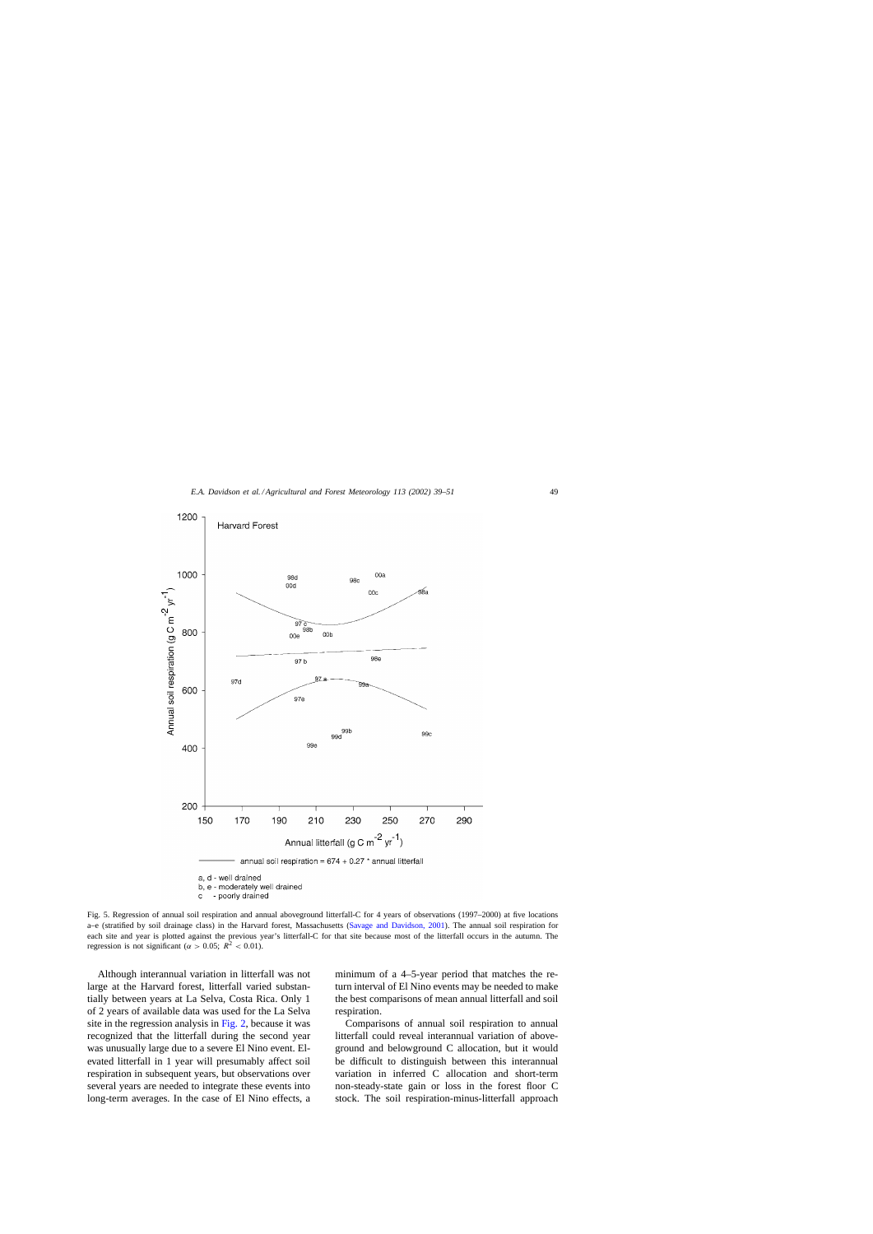<span id="page-10-0"></span>

Fig. 5. Regression of annual soil respiration and annual aboveground litterfall-C for 4 years of observations (1997–2000) at five locations a–e (stratified by soil drainage class) in the Harvard forest, Massachusetts [\(Savage and Davidson, 2001\).](#page-12-0) The annual soil respiration for each site and year is plotted against the previous year's litterfall-C for that site because most of the litterfall occurs in the autumn. The regression is not significant ( $\alpha > 0.05$ ;  $R^2 < 0.01$ ).

Although interannual variation in litterfall was not large at the Harvard forest, litterfall varied substantially between years at La Selva, Costa Rica. Only 1 of 2 years of available data was used for the La Selva site in the regression analysis in [Fig. 2, b](#page-6-0)ecause it was recognized that the litterfall during the second year was unusually large due to a severe El Nino event. Elevated litterfall in 1 year will presumably affect soil respiration in subsequent years, but observations over several years are needed to integrate these events into long-term averages. In the case of El Nino effects, a

minimum of a 4–5-year period that matches the return interval of El Nino events may be needed to make the best comparisons of mean annual litterfall and soil respiration.

Comparisons of annual soil respiration to annual litterfall could reveal interannual variation of aboveground and belowground C allocation, but it would be difficult to distinguish between this interannual variation in inferred C allocation and short-term non-steady-state gain or loss in the forest floor C stock. The soil respiration-minus-litterfall approach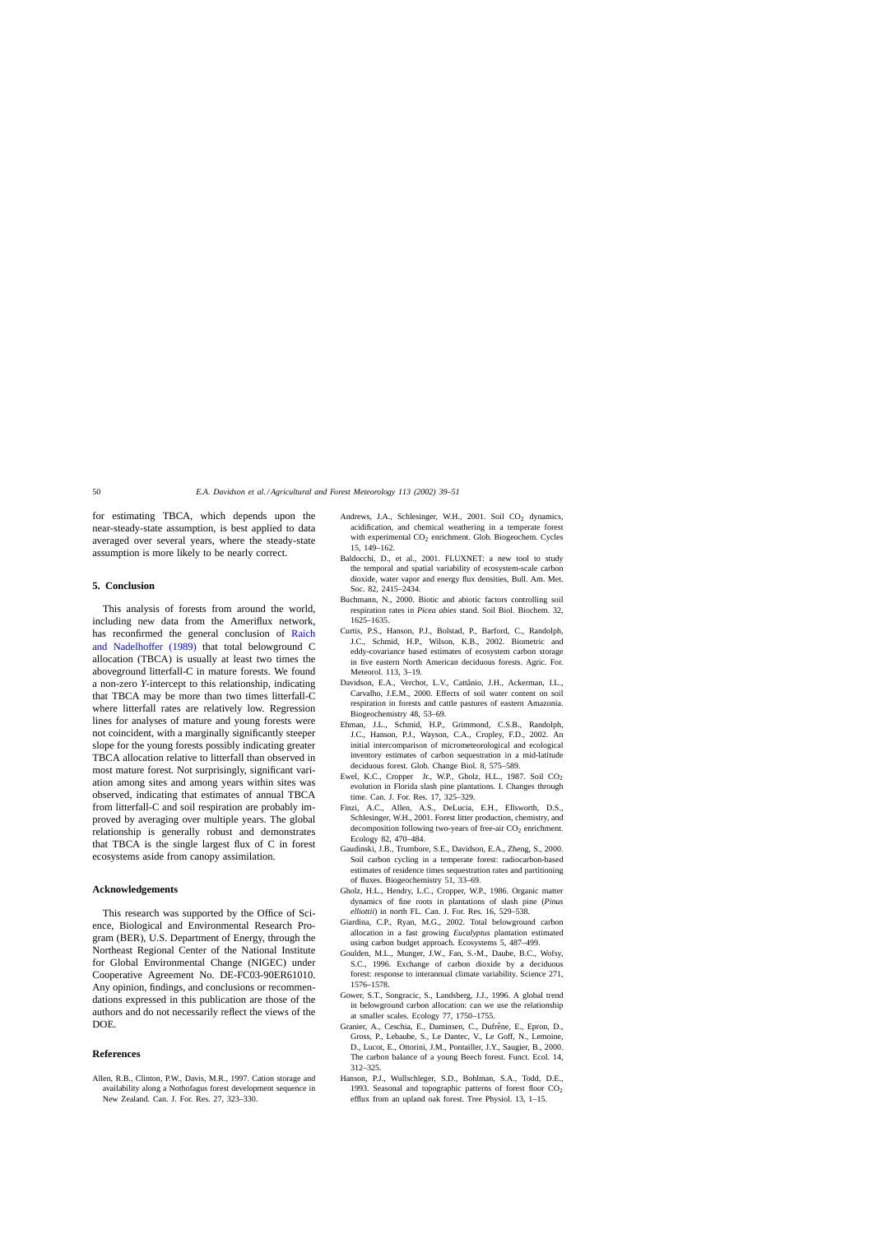<span id="page-11-0"></span>for estimating TBCA, which depends upon the near-steady-state assumption, is best applied to data averaged over several years, where the steady-state assumption is more likely to be nearly correct.

## **5. Conclusion**

This analysis of forests from around the world, including new data from the Ameriflux network, has reconfirmed the general conclusion of [Raich](#page-12-0) [and Nadelhoffer \(1989\)](#page-12-0) that total belowground C allocation (TBCA) is usually at least two times the aboveground litterfall-C in mature forests. We found a non-zero *Y*-intercept to this relationship, indicating that TBCA may be more than two times litterfall-C where litterfall rates are relatively low. Regression lines for analyses of mature and young forests were not coincident, with a marginally significantly steeper slope for the young forests possibly indicating greater TBCA allocation relative to litterfall than observed in most mature forest. Not surprisingly, significant variation among sites and among years within sites was observed, indicating that estimates of annual TBCA from litterfall-C and soil respiration are probably improved by averaging over multiple years. The global relationship is generally robust and demonstrates that TBCA is the single largest flux of C in forest ecosystems aside from canopy assimilation.

#### **Acknowledgements**

This research was supported by the Office of Science, Biological and Environmental Research Program (BER), U.S. Department of Energy, through the Northeast Regional Center of the National Institute for Global Environmental Change (NIGEC) under Cooperative Agreement No. DE-FC03-90ER61010. Any opinion, findings, and conclusions or recommendations expressed in this publication are those of the authors and do not necessarily reflect the views of the DOE.

#### **References**

Allen, R.B., Clinton, P.W., Davis, M.R., 1997. Cation storage and availability along a Nothofagus forest development sequence in New Zealand. Can. J. For. Res. 27, 323–330.

- Andrews, J.A., Schlesinger, W.H., 2001. Soil  $CO<sub>2</sub>$  dynamics, acidification, and chemical weathering in a temperate forest with experimental CO<sub>2</sub> enrichment. Glob. Biogeochem. Cycles 15, 149–162.
- Baldocchi, D., et al., 2001. FLUXNET: a new tool to study the temporal and spatial variability of ecosystem-scale carbon dioxide, water vapor and energy flux densities, Bull. Am. Met. Soc. 82, 2415–2434.
- Buchmann, N., 2000. Biotic and abiotic factors controlling soil respiration rates in *Picea abies* stand. Soil Biol. Biochem. 32, 1625–1635.
- Curtis, P.S., Hanson, P.J., Bolstad, P., Barford, C., Randolph, J.C., Schmid, H.P., Wilson, K.B., 2002. Biometric and eddy-covariance based estimates of ecosystem carbon storage in five eastern North American deciduous forests. Agric. For. Meteorol. 113, 3–19.
- Davidson, E.A., Verchot, L.V., Cattânio, J.H., Ackerman, I.L., Carvalho, J.E.M., 2000. Effects of soil water content on soil respiration in forests and cattle pastures of eastern Amazonia. Biogeochemistry 48, 53–69.
- Ehman, J.L., Schmid, H.P., Grimmond, C.S.B., Randolph, J.C., Hanson, P.J., Wayson, C.A., Cropley, F.D., 2002. An initial intercomparison of micrometeorological and ecological inventory estimates of carbon sequestration in a mid-latitude deciduous forest. Glob. Change Biol. 8, 575–589.
- Ewel, K.C., Cropper Jr., W.P., Gholz, H.L., 1987. Soil CO<sub>2</sub> evolution in Florida slash pine plantations. I. Changes through time. Can. J. For. Res. 17, 325–329.
- Finzi, A.C., Allen, A.S., DeLucia, E.H., Ellsworth, D.S., Schlesinger, W.H., 2001. Forest litter production, chemistry, and decomposition following two-years of free-air  $CO<sub>2</sub>$  enrichment. Ecology 82, 470–484.
- Gaudinski, J.B., Trumbore, S.E., Davidson, E.A., Zheng, S., 2000. Soil carbon cycling in a temperate forest: radiocarbon-based estimates of residence times sequestration rates and partitioning of fluxes. Biogeochemistry 51, 33–69.
- Gholz, H.L., Hendry, L.C., Cropper, W.P., 1986. Organic matter dynamics of fine roots in plantations of slash pine (*Pinus elliottii*) in north FL. Can. J. For. Res. 16, 529–538.
- Giardina, C.P., Ryan, M.G., 2002. Total belowground carbon allocation in a fast growing *Eucalyptus* plantation estimated using carbon budget approach. Ecosystems 5, 487–499.
- Goulden, M.L., Munger, J.W., Fan, S.-M., Daube, B.C., Wofsy, S.C., 1996. Exchange of carbon dioxide by a deciduous forest: response to interannual climate variability. Science 271, 1576–1578.
- Gower, S.T., Songracic, S., Landsberg, J.J., 1996. A global trend in belowground carbon allocation: can we use the relationship at smaller scales. Ecology 77, 1750–1755.
- Granier, A., Ceschia, E., Daminsen, C., Dufrêne, E., Epron, D., Gross, P., Lebaube, S., Le Dantec, V., Le Goff, N., Lemoine, D., Lucot, E., Ottorini, J.M., Pontailler, J.Y., Saugier, B., 2000. The carbon balance of a young Beech forest. Funct. Ecol. 14, 312–325.
- Hanson, P.J., Wullschleger, S.D., Bohlman, S.A., Todd, D.E., 1993. Seasonal and topographic patterns of forest floor  $CO<sub>2</sub>$ efflux from an upland oak forest. Tree Physiol. 13, 1–15.